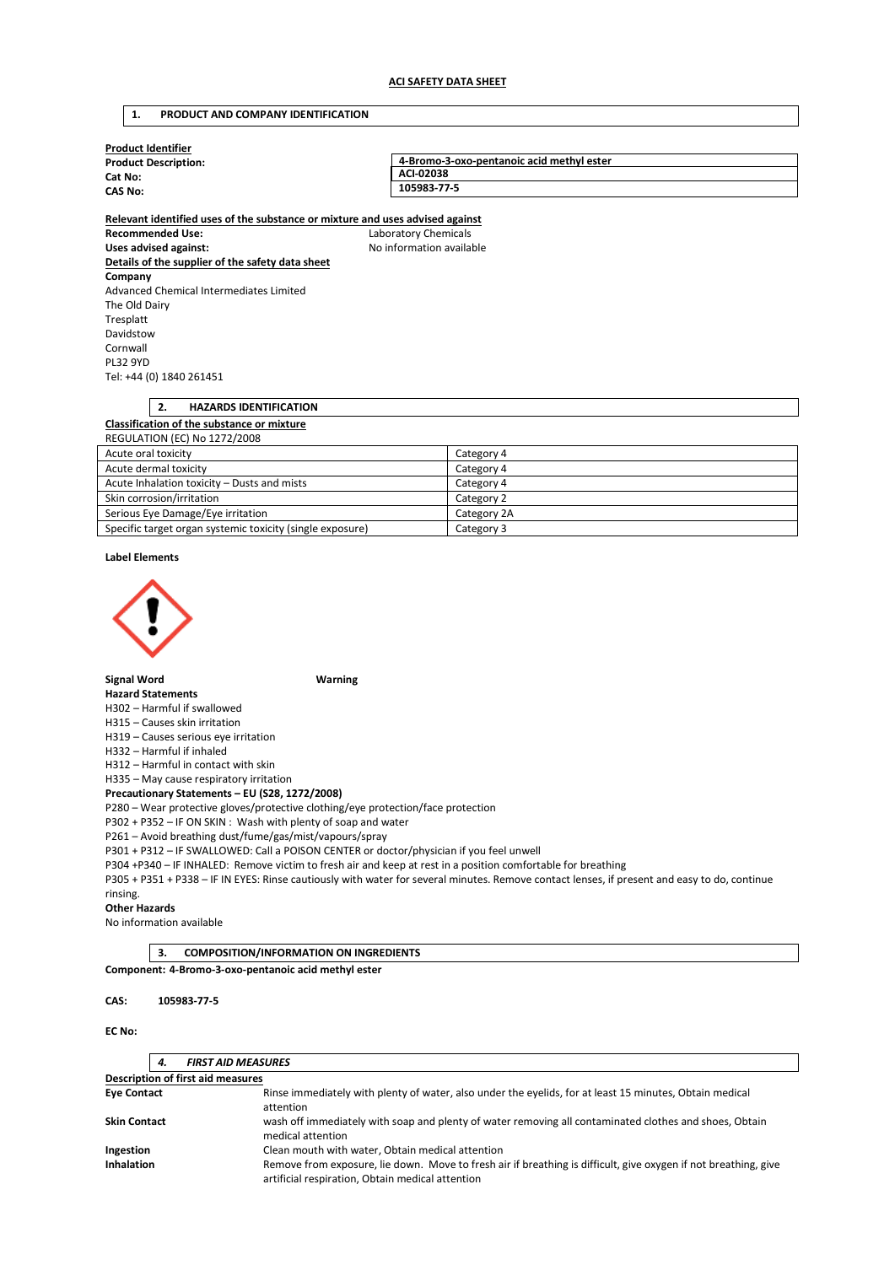#### **1. PRODUCT AND COMPANY IDENTIFICATION**

| <b>Product Identifier</b>              |                                           |  |  |  |
|----------------------------------------|-------------------------------------------|--|--|--|
| <b>Product Description:</b><br>Cat No: | 4-Bromo-3-oxo-pentanoic acid methyl ester |  |  |  |
|                                        | ACI-02038                                 |  |  |  |
| <b>CAS No:</b>                         | 105983-77-5                               |  |  |  |
|                                        |                                           |  |  |  |

**Relevant identified uses of the substance or mixture and uses advised against Recommended Use:** Laboratory Chemicals Uses advised against: Moleco and Moleco available **Details of the supplier of the safety data sheet Company**  Advanced Chemical Intermediates Limited The Old Dairy Tresplatt Davidstow Cornwall PL32 9YD Tel: +44 (0) 1840 261451

## **2. HAZARDS IDENTIFICATION Classification of the substance or mixture**  REGULATION (EC) No 1272/2008 Acute oral toxicity Category 4

| Acute dermal toxicity                                     | Category 4  |
|-----------------------------------------------------------|-------------|
| Acute Inhalation toxicity - Dusts and mists               | Category 4  |
| Skin corrosion/irritation                                 | Category 2  |
| Serious Eye Damage/Eye irritation                         | Category 2A |
| Specific target organ systemic toxicity (single exposure) | Category 3  |

## **Label Elements**



#### **Signal Word Warning**

#### **Hazard Statements**

H302 – Harmful if swallowed

H315 – Causes skin irritation

H319 – Causes serious eye irritation

## H332 – Harmful if inhaled

H312 – Harmful in contact with skin

H335 – May cause respiratory irritation

#### **Precautionary Statements – EU (S28, 1272/2008)**

P280 – Wear protective gloves/protective clothing/eye protection/face protection

P302 + P352 – IF ON SKIN : Wash with plenty of soap and water

P261 – Avoid breathing dust/fume/gas/mist/vapours/spray

P301 + P312 – IF SWALLOWED: Call a POISON CENTER or doctor/physician if you feel unwell

P304 +P340 – IF INHALED: Remove victim to fresh air and keep at rest in a position comfortable for breathing

P305 + P351 + P338 – IF IN EYES: Rinse cautiously with water for several minutes. Remove contact lenses, if present and easy to do, continue rinsing.

#### **Other Hazards**

No information available

**3. COMPOSITION/INFORMATION ON INGREDIENTS Component: 4-Bromo-3-oxo-pentanoic acid methyl ester** 

#### **CAS: 105983-77-5**

#### **EC No:**

|                                   | 4.                                               | <b>FIRST AID MEASURES</b>                                                                                                                                           |  |  |  |
|-----------------------------------|--------------------------------------------------|---------------------------------------------------------------------------------------------------------------------------------------------------------------------|--|--|--|
| Description of first aid measures |                                                  |                                                                                                                                                                     |  |  |  |
| <b>Eve Contact</b>                |                                                  | Rinse immediately with plenty of water, also under the eyelids, for at least 15 minutes, Obtain medical<br>attention                                                |  |  |  |
| <b>Skin Contact</b>               |                                                  | wash off immediately with soap and plenty of water removing all contaminated clothes and shoes, Obtain<br>medical attention                                         |  |  |  |
| Ingestion                         | Clean mouth with water, Obtain medical attention |                                                                                                                                                                     |  |  |  |
| <b>Inhalation</b>                 |                                                  | Remove from exposure, lie down. Move to fresh air if breathing is difficult, give oxygen if not breathing, give<br>artificial respiration, Obtain medical attention |  |  |  |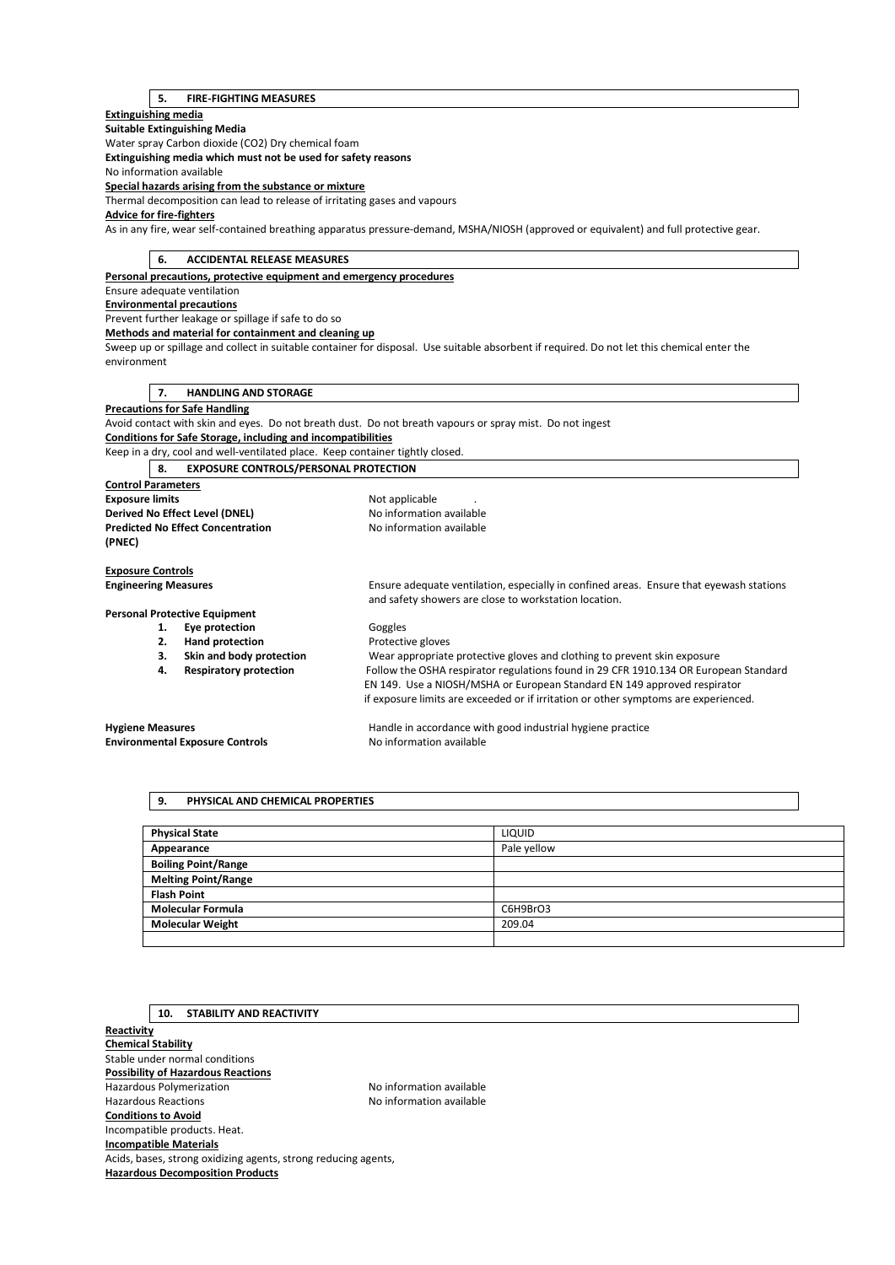#### **5. FIRE-FIGHTING MEASURES**

#### **Extinguishing media**

#### **Suitable Extinguishing Media**  Water spray Carbon dioxide (CO2) Dry chemical foam **Extinguishing media which must not be used for safety reasons**  No information available

# **Special hazards arising from the substance or mixture**

Thermal decomposition can lead to release of irritating gases and vapours

#### **Advice for fire-fighters**

As in any fire, wear self-contained breathing apparatus pressure-demand, MSHA/NIOSH (approved or equivalent) and full protective gear.

## **6. ACCIDENTAL RELEASE MEASURES**

**Personal precautions, protective equipment and emergency procedures** 

## Ensure adequate ventilation

**Environmental precautions** 

# Prevent further leakage or spillage if safe to do so

**Methods and material for containment and cleaning up** 

Sweep up or spillage and collect in suitable container for disposal. Use suitable absorbent if required. Do not let this chemical enter the environment

#### **7. HANDLING AND STORAGE**

#### **Precautions for Safe Handling**

Avoid contact with skin and eyes. Do not breath dust. Do not breath vapours or spray mist. Do not ingest **Conditions for Safe Storage, including and incompatibilities** 

Keep in a dry, cool and well-ventilated place. Keep container tightly closed.

#### **8. EXPOSURE CONTROLS/PERSONAL PROTECTION Control Parameters Exposure limits Exposure limits Not applicable** . **Derived No Effect Level (DNEL)** No information available **Predicted No Effect Concentration** No information available

**Engineering Measures** Ensure adequate ventilation, especially in confined areas. Ensure that eyewash stations and safety showers are close to workstation location.

#### **Personal Protective Equipment**

**(PNEC)** 

**Exposure Controls** 

- 1. **Eye protection Goggles**
- **2. Hand protection Protective gloves**
- 
- 

**3. Skin and body protection** Wear appropriate protective gloves and clothing to prevent skin exposure **4. Respiratory protection** Follow the OSHA respirator regulations found in 29 CFR 1910.134 OR European Standard EN 149. Use a NIOSH/MSHA or European Standard EN 149 approved respirator if exposure limits are exceeded or if irritation or other symptoms are experienced.

# **Environmental Exposure Controls No information available**

**Hygiene Measures** Handle in accordance with good industrial hygiene practice

## **9. PHYSICAL AND CHEMICAL PROPERTIES**

| <b>Physical State</b>      | LIQUID      |
|----------------------------|-------------|
| Appearance                 | Pale yellow |
| <b>Boiling Point/Range</b> |             |
| <b>Melting Point/Range</b> |             |
| <b>Flash Point</b>         |             |
| <b>Molecular Formula</b>   | C6H9BrO3    |
| <b>Molecular Weight</b>    | 209.04      |
|                            |             |

## **10. STABILITY AND REACTIVITY**

**Reactivity Chemical Stability**  Stable under normal conditions **Possibility of Hazardous Reactions**  Hazardous Polymerization **No information available** Hazardous Reactions **No information available Conditions to Avoid**  Incompatible products. Heat. **Incompatible Materials**  Acids, bases, strong oxidizing agents, strong reducing agents, **Hazardous Decomposition Products**